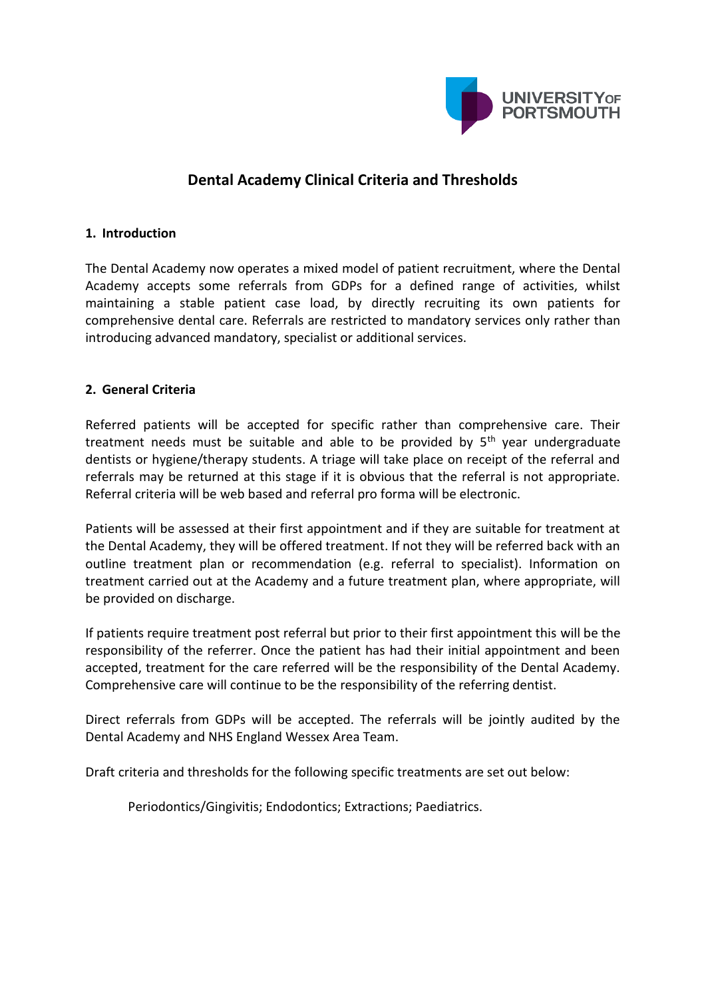

# **Dental Academy Clinical Criteria and Thresholds**

### **1. Introduction**

The Dental Academy now operates a mixed model of patient recruitment, where the Dental Academy accepts some referrals from GDPs for a defined range of activities, whilst maintaining a stable patient case load, by directly recruiting its own patients for comprehensive dental care. Referrals are restricted to mandatory services only rather than introducing advanced mandatory, specialist or additional services.

### **2. General Criteria**

Referred patients will be accepted for specific rather than comprehensive care. Their treatment needs must be suitable and able to be provided by  $5<sup>th</sup>$  year undergraduate dentists or hygiene/therapy students. A triage will take place on receipt of the referral and referrals may be returned at this stage if it is obvious that the referral is not appropriate. Referral criteria will be web based and referral pro forma will be electronic.

Patients will be assessed at their first appointment and if they are suitable for treatment at the Dental Academy, they will be offered treatment. If not they will be referred back with an outline treatment plan or recommendation (e.g. referral to specialist). Information on treatment carried out at the Academy and a future treatment plan, where appropriate, will be provided on discharge.

If patients require treatment post referral but prior to their first appointment this will be the responsibility of the referrer. Once the patient has had their initial appointment and been accepted, treatment for the care referred will be the responsibility of the Dental Academy. Comprehensive care will continue to be the responsibility of the referring dentist.

Direct referrals from GDPs will be accepted. The referrals will be jointly audited by the Dental Academy and NHS England Wessex Area Team.

Draft criteria and thresholds for the following specific treatments are set out below:

Periodontics/Gingivitis; Endodontics; Extractions; Paediatrics.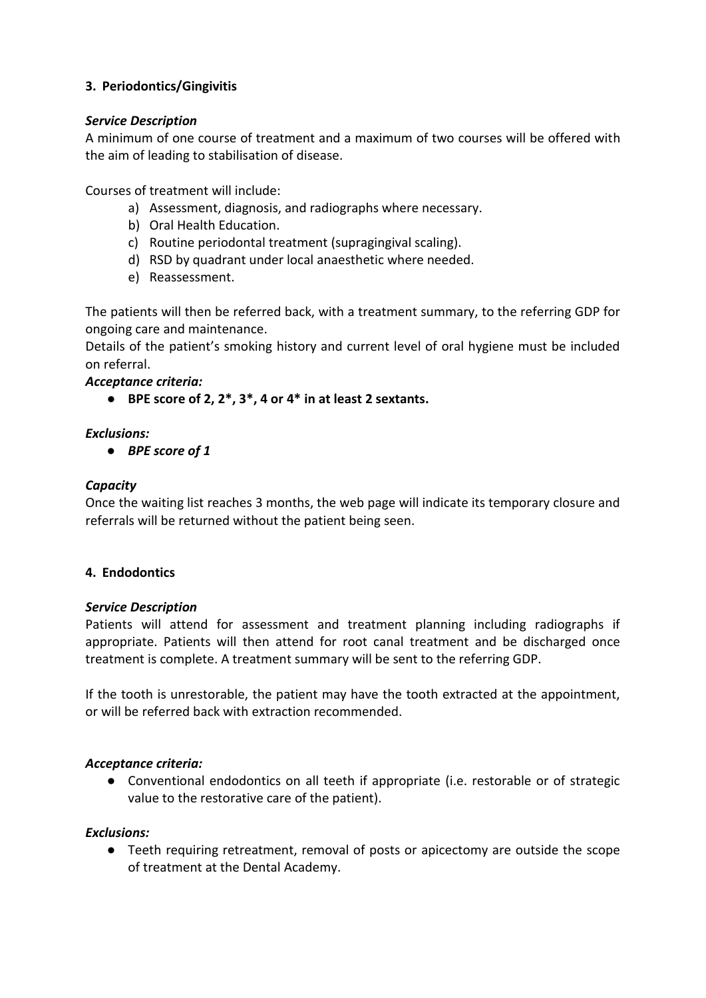# **3. Periodontics/Gingivitis**

### *Service Description*

A minimum of one course of treatment and a maximum of two courses will be offered with the aim of leading to stabilisation of disease.

Courses of treatment will include:

- a) Assessment, diagnosis, and radiographs where necessary.
- b) Oral Health Education.
- c) Routine periodontal treatment (supragingival scaling).
- d) RSD by quadrant under local anaesthetic where needed.
- e) Reassessment.

The patients will then be referred back, with a treatment summary, to the referring GDP for ongoing care and maintenance.

Details of the patient's smoking history and current level of oral hygiene must be included on referral.

# *Acceptance criteria:*

● **BPE score of 2, 2\*, 3\*, 4 or 4\* in at least 2 sextants.**

# *Exclusions:*

● *BPE score of 1*

### *Capacity*

Once the waiting list reaches 3 months, the web page will indicate its temporary closure and referrals will be returned without the patient being seen.

# **4. Endodontics**

### *Service Description*

Patients will attend for assessment and treatment planning including radiographs if appropriate. Patients will then attend for root canal treatment and be discharged once treatment is complete. A treatment summary will be sent to the referring GDP.

If the tooth is unrestorable, the patient may have the tooth extracted at the appointment, or will be referred back with extraction recommended.

### *Acceptance criteria:*

● Conventional endodontics on all teeth if appropriate (i.e. restorable or of strategic value to the restorative care of the patient).

### *Exclusions:*

● Teeth requiring retreatment, removal of posts or apicectomy are outside the scope of treatment at the Dental Academy.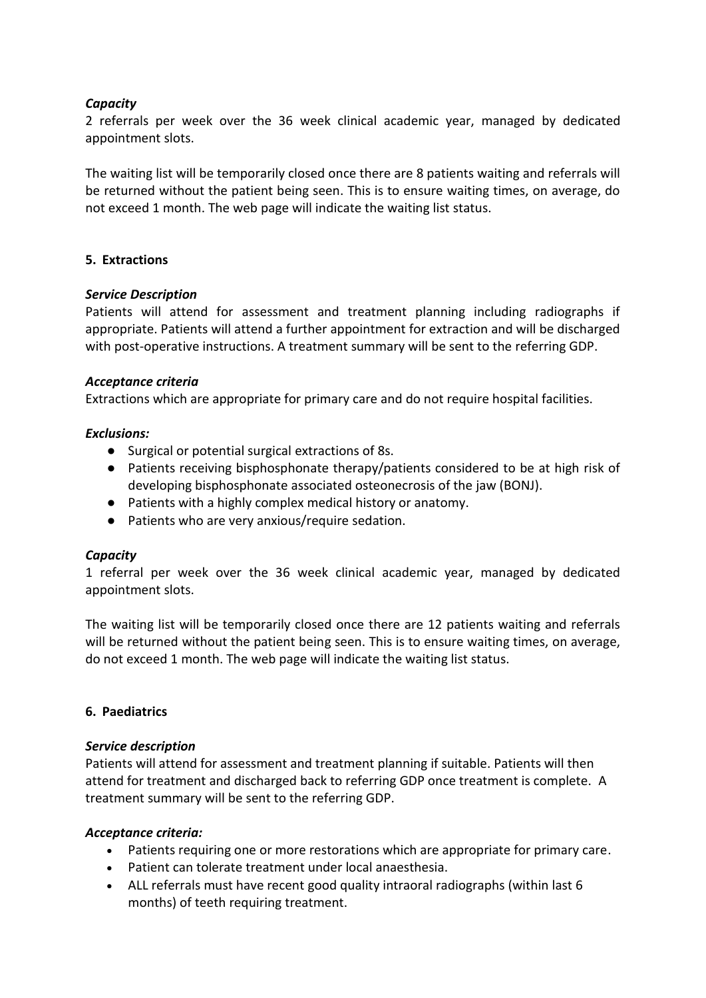### *Capacity*

2 referrals per week over the 36 week clinical academic year, managed by dedicated appointment slots.

The waiting list will be temporarily closed once there are 8 patients waiting and referrals will be returned without the patient being seen. This is to ensure waiting times, on average, do not exceed 1 month. The web page will indicate the waiting list status.

### **5. Extractions**

### *Service Description*

Patients will attend for assessment and treatment planning including radiographs if appropriate. Patients will attend a further appointment for extraction and will be discharged with post-operative instructions. A treatment summary will be sent to the referring GDP.

### *Acceptance criteria*

Extractions which are appropriate for primary care and do not require hospital facilities.

### *Exclusions:*

- Surgical or potential surgical extractions of 8s.
- Patients receiving bisphosphonate therapy/patients considered to be at high risk of developing bisphosphonate associated osteonecrosis of the jaw (BONJ).
- Patients with a highly complex medical history or anatomy.
- Patients who are very anxious/require sedation.

### *Capacity*

1 referral per week over the 36 week clinical academic year, managed by dedicated appointment slots.

The waiting list will be temporarily closed once there are 12 patients waiting and referrals will be returned without the patient being seen. This is to ensure waiting times, on average, do not exceed 1 month. The web page will indicate the waiting list status.

### **6. Paediatrics**

### *Service description*

Patients will attend for assessment and treatment planning if suitable. Patients will then attend for treatment and discharged back to referring GDP once treatment is complete. A treatment summary will be sent to the referring GDP.

### *Acceptance criteria:*

- Patients requiring one or more restorations which are appropriate for primary care.
- Patient can tolerate treatment under local anaesthesia.
- ALL referrals must have recent good quality intraoral radiographs (within last 6 months) of teeth requiring treatment.